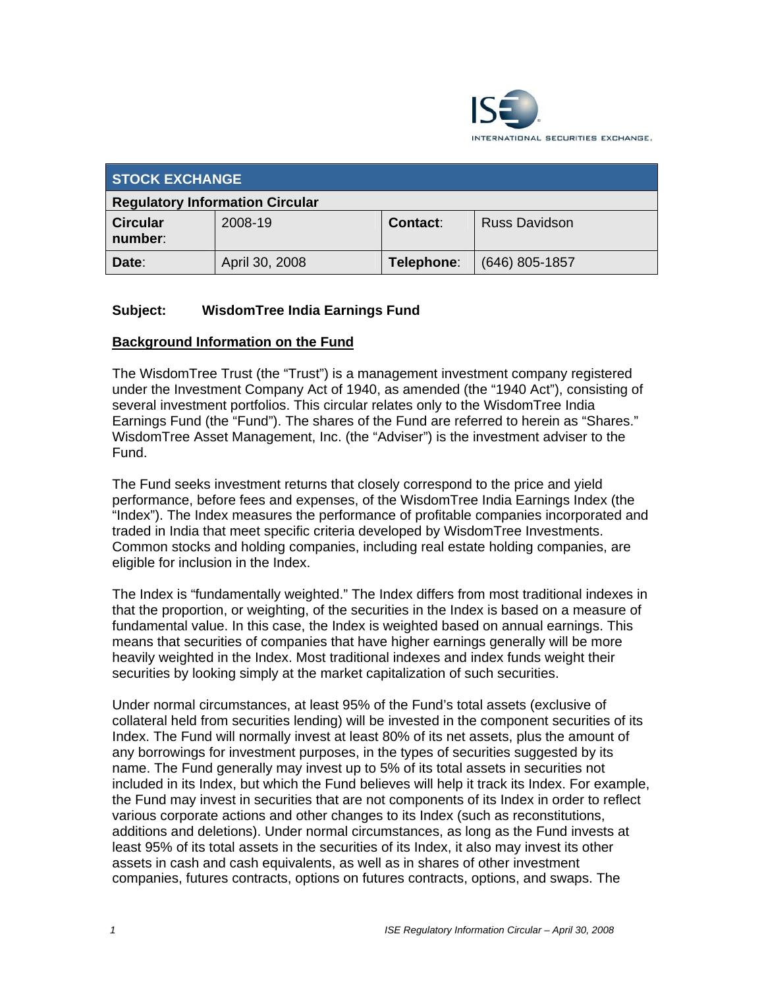

| <b>STOCK EXCHANGE</b>                  |                |                 |                      |
|----------------------------------------|----------------|-----------------|----------------------|
| <b>Regulatory Information Circular</b> |                |                 |                      |
| <b>Circular</b><br>number:             | 2008-19        | <b>Contact:</b> | <b>Russ Davidson</b> |
| Date:                                  | April 30, 2008 | Telephone:      | $(646)$ 805-1857     |

## **Subject: WisdomTree India Earnings Fund**

#### **Background Information on the Fund**

The WisdomTree Trust (the "Trust") is a management investment company registered under the Investment Company Act of 1940, as amended (the "1940 Act"), consisting of several investment portfolios. This circular relates only to the WisdomTree India Earnings Fund (the "Fund"). The shares of the Fund are referred to herein as "Shares." WisdomTree Asset Management, Inc. (the "Adviser") is the investment adviser to the Fund.

The Fund seeks investment returns that closely correspond to the price and yield performance, before fees and expenses, of the WisdomTree India Earnings Index (the "Index"). The Index measures the performance of profitable companies incorporated and traded in India that meet specific criteria developed by WisdomTree Investments. Common stocks and holding companies, including real estate holding companies, are eligible for inclusion in the Index.

The Index is "fundamentally weighted." The Index differs from most traditional indexes in that the proportion, or weighting, of the securities in the Index is based on a measure of fundamental value. In this case, the Index is weighted based on annual earnings. This means that securities of companies that have higher earnings generally will be more heavily weighted in the Index. Most traditional indexes and index funds weight their securities by looking simply at the market capitalization of such securities.

Under normal circumstances, at least 95% of the Fund's total assets (exclusive of collateral held from securities lending) will be invested in the component securities of its Index. The Fund will normally invest at least 80% of its net assets, plus the amount of any borrowings for investment purposes, in the types of securities suggested by its name. The Fund generally may invest up to 5% of its total assets in securities not included in its Index, but which the Fund believes will help it track its Index. For example, the Fund may invest in securities that are not components of its Index in order to reflect various corporate actions and other changes to its Index (such as reconstitutions, additions and deletions). Under normal circumstances, as long as the Fund invests at least 95% of its total assets in the securities of its Index, it also may invest its other assets in cash and cash equivalents, as well as in shares of other investment companies, futures contracts, options on futures contracts, options, and swaps. The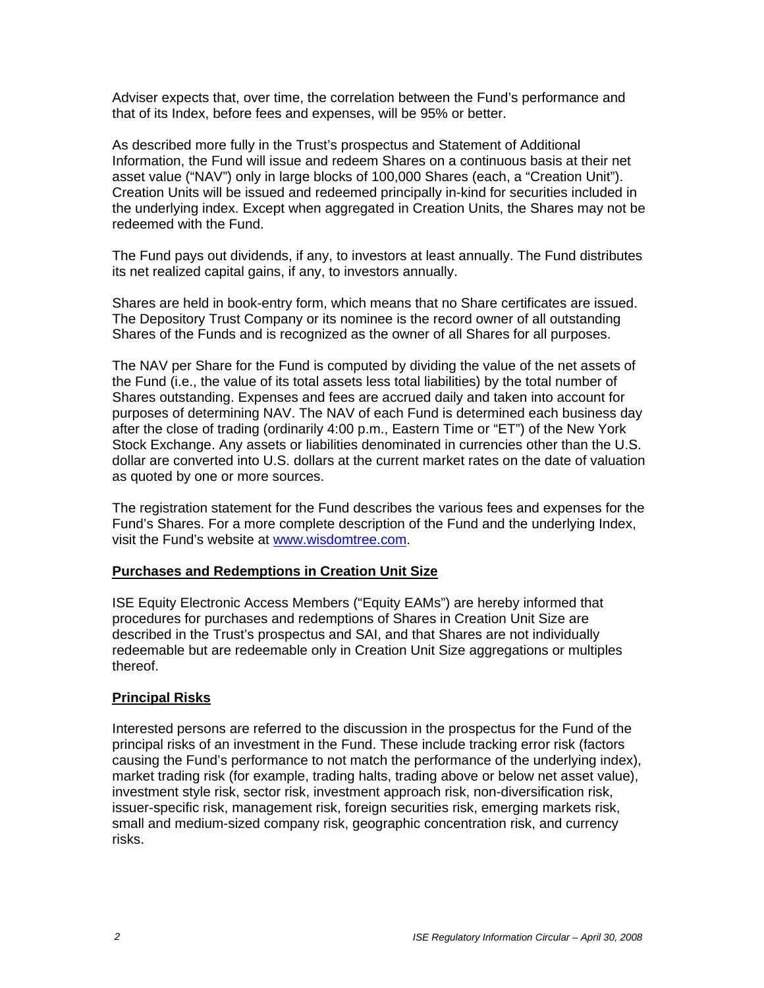Adviser expects that, over time, the correlation between the Fund's performance and that of its Index, before fees and expenses, will be 95% or better.

As described more fully in the Trust's prospectus and Statement of Additional Information, the Fund will issue and redeem Shares on a continuous basis at their net asset value ("NAV") only in large blocks of 100,000 Shares (each, a "Creation Unit"). Creation Units will be issued and redeemed principally in-kind for securities included in the underlying index. Except when aggregated in Creation Units, the Shares may not be redeemed with the Fund.

The Fund pays out dividends, if any, to investors at least annually. The Fund distributes its net realized capital gains, if any, to investors annually.

Shares are held in book-entry form, which means that no Share certificates are issued. The Depository Trust Company or its nominee is the record owner of all outstanding Shares of the Funds and is recognized as the owner of all Shares for all purposes.

The NAV per Share for the Fund is computed by dividing the value of the net assets of the Fund (i.e., the value of its total assets less total liabilities) by the total number of Shares outstanding. Expenses and fees are accrued daily and taken into account for purposes of determining NAV. The NAV of each Fund is determined each business day after the close of trading (ordinarily 4:00 p.m., Eastern Time or "ET") of the New York Stock Exchange. Any assets or liabilities denominated in currencies other than the U.S. dollar are converted into U.S. dollars at the current market rates on the date of valuation as quoted by one or more sources.

The registration statement for the Fund describes the various fees and expenses for the Fund's Shares. For a more complete description of the Fund and the underlying Index, visit the Fund's website at www.wisdomtree.com.

#### **Purchases and Redemptions in Creation Unit Size**

ISE Equity Electronic Access Members ("Equity EAMs") are hereby informed that procedures for purchases and redemptions of Shares in Creation Unit Size are described in the Trust's prospectus and SAI, and that Shares are not individually redeemable but are redeemable only in Creation Unit Size aggregations or multiples thereof.

#### **Principal Risks**

Interested persons are referred to the discussion in the prospectus for the Fund of the principal risks of an investment in the Fund. These include tracking error risk (factors causing the Fund's performance to not match the performance of the underlying index), market trading risk (for example, trading halts, trading above or below net asset value), investment style risk, sector risk, investment approach risk, non-diversification risk, issuer-specific risk, management risk, foreign securities risk, emerging markets risk, small and medium-sized company risk, geographic concentration risk, and currency risks.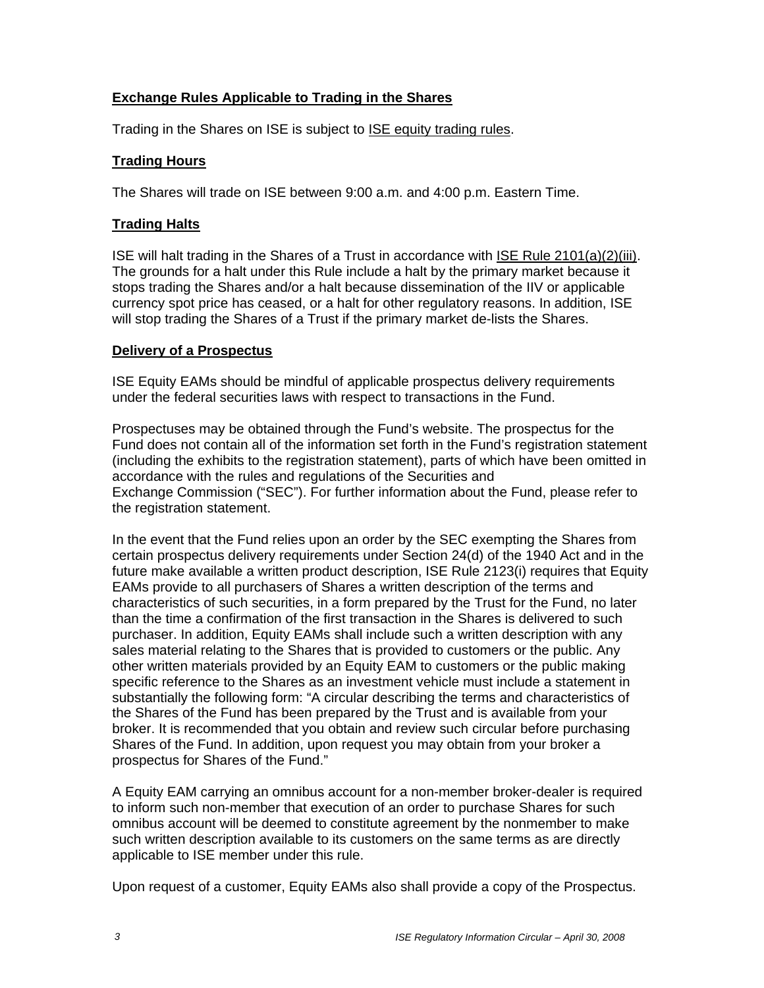## **Exchange Rules Applicable to Trading in the Shares**

Trading in the Shares on ISE is subject to **ISE equity trading rules**.

#### **Trading Hours**

The Shares will trade on ISE between 9:00 a.m. and 4:00 p.m. Eastern Time.

## **Trading Halts**

ISE will halt trading in the Shares of a Trust in accordance with ISE Rule 2101(a)(2)(iii). The grounds for a halt under this Rule include a halt by the primary market because it stops trading the Shares and/or a halt because dissemination of the IIV or applicable currency spot price has ceased, or a halt for other regulatory reasons. In addition, ISE will stop trading the Shares of a Trust if the primary market de-lists the Shares.

#### **Delivery of a Prospectus**

ISE Equity EAMs should be mindful of applicable prospectus delivery requirements under the federal securities laws with respect to transactions in the Fund.

Prospectuses may be obtained through the Fund's website. The prospectus for the Fund does not contain all of the information set forth in the Fund's registration statement (including the exhibits to the registration statement), parts of which have been omitted in accordance with the rules and regulations of the Securities and Exchange Commission ("SEC"). For further information about the Fund, please refer to the registration statement.

In the event that the Fund relies upon an order by the SEC exempting the Shares from certain prospectus delivery requirements under Section 24(d) of the 1940 Act and in the future make available a written product description, ISE Rule 2123(i) requires that Equity EAMs provide to all purchasers of Shares a written description of the terms and characteristics of such securities, in a form prepared by the Trust for the Fund, no later than the time a confirmation of the first transaction in the Shares is delivered to such purchaser. In addition, Equity EAMs shall include such a written description with any sales material relating to the Shares that is provided to customers or the public. Any other written materials provided by an Equity EAM to customers or the public making specific reference to the Shares as an investment vehicle must include a statement in substantially the following form: "A circular describing the terms and characteristics of the Shares of the Fund has been prepared by the Trust and is available from your broker. It is recommended that you obtain and review such circular before purchasing Shares of the Fund. In addition, upon request you may obtain from your broker a prospectus for Shares of the Fund."

A Equity EAM carrying an omnibus account for a non-member broker-dealer is required to inform such non-member that execution of an order to purchase Shares for such omnibus account will be deemed to constitute agreement by the nonmember to make such written description available to its customers on the same terms as are directly applicable to ISE member under this rule.

Upon request of a customer, Equity EAMs also shall provide a copy of the Prospectus.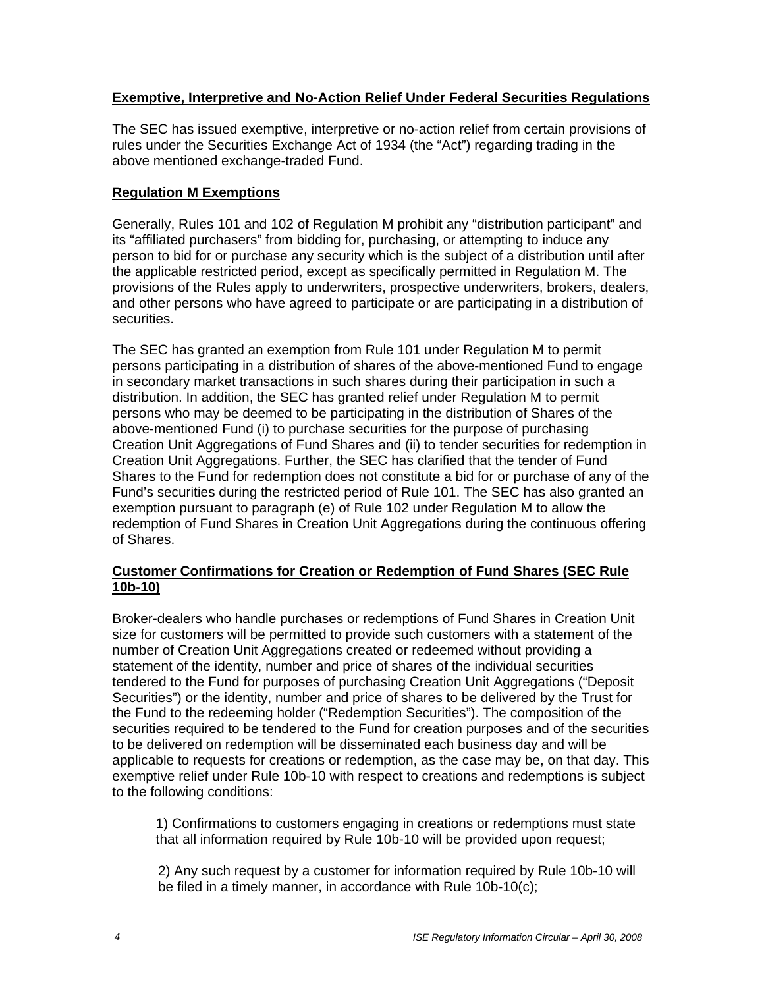#### **Exemptive, Interpretive and No-Action Relief Under Federal Securities Regulations**

The SEC has issued exemptive, interpretive or no-action relief from certain provisions of rules under the Securities Exchange Act of 1934 (the "Act") regarding trading in the above mentioned exchange-traded Fund.

## **Regulation M Exemptions**

Generally, Rules 101 and 102 of Regulation M prohibit any "distribution participant" and its "affiliated purchasers" from bidding for, purchasing, or attempting to induce any person to bid for or purchase any security which is the subject of a distribution until after the applicable restricted period, except as specifically permitted in Regulation M. The provisions of the Rules apply to underwriters, prospective underwriters, brokers, dealers, and other persons who have agreed to participate or are participating in a distribution of securities.

The SEC has granted an exemption from Rule 101 under Regulation M to permit persons participating in a distribution of shares of the above-mentioned Fund to engage in secondary market transactions in such shares during their participation in such a distribution. In addition, the SEC has granted relief under Regulation M to permit persons who may be deemed to be participating in the distribution of Shares of the above-mentioned Fund (i) to purchase securities for the purpose of purchasing Creation Unit Aggregations of Fund Shares and (ii) to tender securities for redemption in Creation Unit Aggregations. Further, the SEC has clarified that the tender of Fund Shares to the Fund for redemption does not constitute a bid for or purchase of any of the Fund's securities during the restricted period of Rule 101. The SEC has also granted an exemption pursuant to paragraph (e) of Rule 102 under Regulation M to allow the redemption of Fund Shares in Creation Unit Aggregations during the continuous offering of Shares.

#### **Customer Confirmations for Creation or Redemption of Fund Shares (SEC Rule 10b-10)**

Broker-dealers who handle purchases or redemptions of Fund Shares in Creation Unit size for customers will be permitted to provide such customers with a statement of the number of Creation Unit Aggregations created or redeemed without providing a statement of the identity, number and price of shares of the individual securities tendered to the Fund for purposes of purchasing Creation Unit Aggregations ("Deposit Securities") or the identity, number and price of shares to be delivered by the Trust for the Fund to the redeeming holder ("Redemption Securities"). The composition of the securities required to be tendered to the Fund for creation purposes and of the securities to be delivered on redemption will be disseminated each business day and will be applicable to requests for creations or redemption, as the case may be, on that day. This exemptive relief under Rule 10b-10 with respect to creations and redemptions is subject to the following conditions:

1) Confirmations to customers engaging in creations or redemptions must state that all information required by Rule 10b-10 will be provided upon request;

2) Any such request by a customer for information required by Rule 10b-10 will be filed in a timely manner, in accordance with Rule 10b-10(c);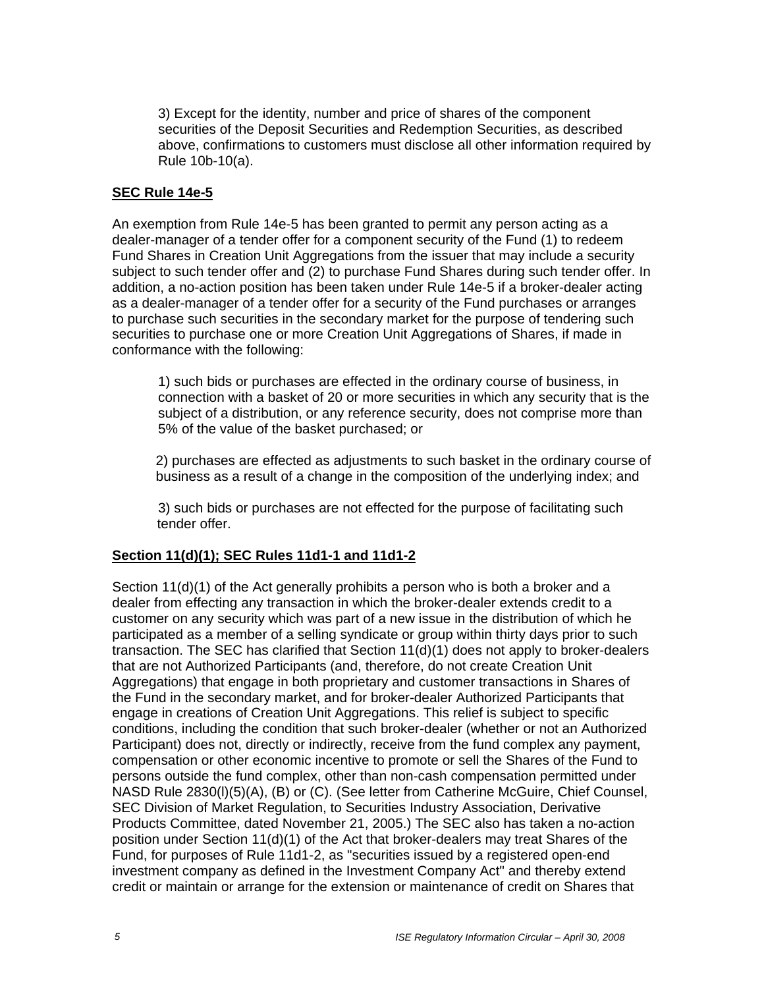3) Except for the identity, number and price of shares of the component securities of the Deposit Securities and Redemption Securities, as described above, confirmations to customers must disclose all other information required by Rule 10b-10(a).

#### **SEC Rule 14e-5**

An exemption from Rule 14e-5 has been granted to permit any person acting as a dealer-manager of a tender offer for a component security of the Fund (1) to redeem Fund Shares in Creation Unit Aggregations from the issuer that may include a security subject to such tender offer and (2) to purchase Fund Shares during such tender offer. In addition, a no-action position has been taken under Rule 14e-5 if a broker-dealer acting as a dealer-manager of a tender offer for a security of the Fund purchases or arranges to purchase such securities in the secondary market for the purpose of tendering such securities to purchase one or more Creation Unit Aggregations of Shares, if made in conformance with the following:

1) such bids or purchases are effected in the ordinary course of business, in connection with a basket of 20 or more securities in which any security that is the subject of a distribution, or any reference security, does not comprise more than 5% of the value of the basket purchased; or

2) purchases are effected as adjustments to such basket in the ordinary course of business as a result of a change in the composition of the underlying index; and

3) such bids or purchases are not effected for the purpose of facilitating such tender offer.

#### **Section 11(d)(1); SEC Rules 11d1-1 and 11d1-2**

Section 11(d)(1) of the Act generally prohibits a person who is both a broker and a dealer from effecting any transaction in which the broker-dealer extends credit to a customer on any security which was part of a new issue in the distribution of which he participated as a member of a selling syndicate or group within thirty days prior to such transaction. The SEC has clarified that Section 11(d)(1) does not apply to broker-dealers that are not Authorized Participants (and, therefore, do not create Creation Unit Aggregations) that engage in both proprietary and customer transactions in Shares of the Fund in the secondary market, and for broker-dealer Authorized Participants that engage in creations of Creation Unit Aggregations. This relief is subject to specific conditions, including the condition that such broker-dealer (whether or not an Authorized Participant) does not, directly or indirectly, receive from the fund complex any payment, compensation or other economic incentive to promote or sell the Shares of the Fund to persons outside the fund complex, other than non-cash compensation permitted under NASD Rule 2830(l)(5)(A), (B) or (C). (See letter from Catherine McGuire, Chief Counsel, SEC Division of Market Regulation, to Securities Industry Association, Derivative Products Committee, dated November 21, 2005.) The SEC also has taken a no-action position under Section 11(d)(1) of the Act that broker-dealers may treat Shares of the Fund, for purposes of Rule 11d1-2, as "securities issued by a registered open-end investment company as defined in the Investment Company Act" and thereby extend credit or maintain or arrange for the extension or maintenance of credit on Shares that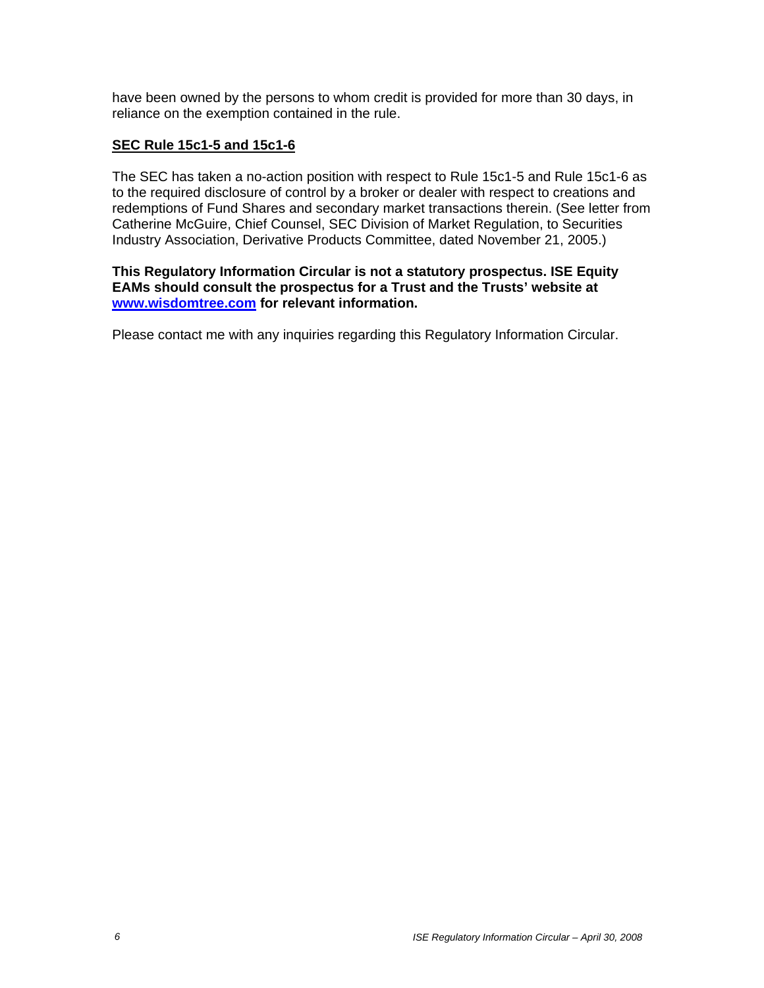have been owned by the persons to whom credit is provided for more than 30 days, in reliance on the exemption contained in the rule.

#### **SEC Rule 15c1-5 and 15c1-6**

The SEC has taken a no-action position with respect to Rule 15c1-5 and Rule 15c1-6 as to the required disclosure of control by a broker or dealer with respect to creations and redemptions of Fund Shares and secondary market transactions therein. (See letter from Catherine McGuire, Chief Counsel, SEC Division of Market Regulation, to Securities Industry Association, Derivative Products Committee, dated November 21, 2005.)

#### **This Regulatory Information Circular is not a statutory prospectus. ISE Equity EAMs should consult the prospectus for a Trust and the Trusts' website at www.wisdomtree.com for relevant information.**

Please contact me with any inquiries regarding this Regulatory Information Circular.